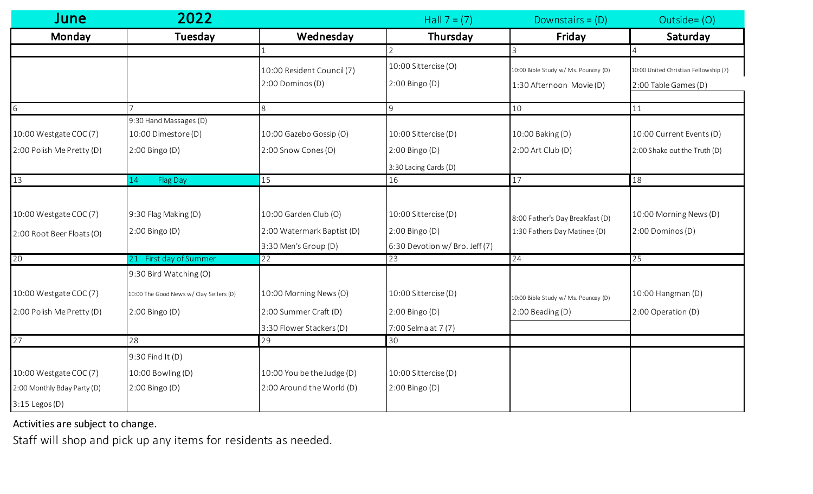| June                        | 2022                                    |                            | Hall $7 = (7)$                 | Downstairs = $(D)$                   | Outside=(O)                           |
|-----------------------------|-----------------------------------------|----------------------------|--------------------------------|--------------------------------------|---------------------------------------|
| Monday                      | Tuesday                                 | Wednesday                  | Thursday                       | Friday                               | Saturday                              |
|                             |                                         |                            | 2                              |                                      |                                       |
|                             |                                         | 10:00 Resident Council (7) | 10:00 Sittercise (O)           | 10:00 Bible Study w/ Ms. Pouncey (D) | 10:00 United Christian Fellowship (7) |
|                             |                                         | 2:00 Dominos (D)           | 2:00 Bingo (D)                 | 1:30 Afternoon Movie (D)             | 2:00 Table Games (D)                  |
| 6                           |                                         | 8                          | 9                              | $10$                                 | 11                                    |
|                             | 9:30 Hand Massages (D)                  |                            |                                |                                      |                                       |
| 10:00 Westgate COC (7)      | 10:00 Dimestore (D)                     | 10:00 Gazebo Gossip (O)    | 10:00 Sittercise (D)           | 10:00 Baking (D)                     | 10:00 Current Events (D)              |
| 2:00 Polish Me Pretty (D)   | 2:00 Bingo (D)                          | 2:00 Snow Cones (O)        | 2:00 Bingo (D)                 | $2:00$ Art Club (D)                  | 2:00 Shake out the Truth (D)          |
|                             |                                         |                            | 3:30 Lacing Cards (D)          |                                      |                                       |
| 13                          | <b>Flag Day</b><br>14                   | 15                         | 16                             | 17                                   | 18                                    |
|                             |                                         |                            |                                |                                      |                                       |
| 10:00 Westgate COC (7)      | 9:30 Flag Making (D)                    | 10:00 Garden Club (O)      | 10:00 Sittercise (D)           | 8:00 Father's Day Breakfast (D)      | 10:00 Morning News (D)                |
| 2:00 Root Beer Floats (O)   | 2:00 Bingo (D)                          | 2:00 Watermark Baptist (D) | 2:00 Bingo (D)                 | 1:30 Fathers Day Matinee (D)         | 2:00 Dominos (D)                      |
|                             |                                         | 3:30 Men's Group (D)       | 6:30 Devotion w/ Bro. Jeff (7) |                                      |                                       |
| 20                          | First day of Summer<br>21               | 22                         | 23                             | 24                                   | 25                                    |
|                             | 9:30 Bird Watching (O)                  |                            |                                |                                      |                                       |
| 10:00 Westgate COC (7)      | 10:00 The Good News w/ Clay Sellers (D) | 10:00 Morning News (O)     | 10:00 Sittercise (D)           | 10:00 Bible Study w/ Ms. Pouncey (D) | 10:00 Hangman (D)                     |
| 2:00 Polish Me Pretty (D)   | 2:00 Bingo (D)                          | 2:00 Summer Craft (D)      | 2:00 Bingo (D)                 | 2:00 Beading (D)                     | 2:00 Operation (D)                    |
|                             |                                         | 3:30 Flower Stackers (D)   | 7:00 Selma at 7 (7)            |                                      |                                       |
| 27                          | 28                                      | 29                         | 30                             |                                      |                                       |
|                             | 9:30 Find It (D)                        |                            |                                |                                      |                                       |
| 10:00 Westgate COC (7)      | 10:00 Bowling (D)                       | 10:00 You be the Judge (D) | 10:00 Sittercise (D)           |                                      |                                       |
| 2:00 Monthly Bday Party (D) | 2:00 Bingo (D)                          | 2:00 Around the World (D)  | 2:00 Bingo (D)                 |                                      |                                       |
| $3:15$ Legos (D)            |                                         |                            |                                |                                      |                                       |

Activities are subject to change.

Staff will shop and pick up any items for residents as needed.